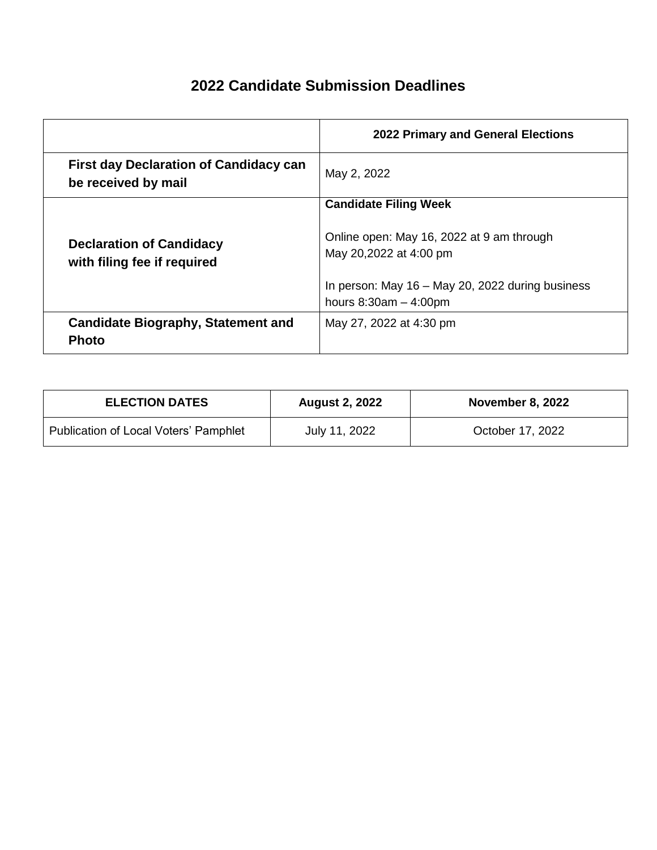## **2022 Candidate Submission Deadlines**

|                                                                      | 2022 Primary and General Elections                                            |
|----------------------------------------------------------------------|-------------------------------------------------------------------------------|
| <b>First day Declaration of Candidacy can</b><br>be received by mail | May 2, 2022                                                                   |
|                                                                      | <b>Candidate Filing Week</b>                                                  |
| <b>Declaration of Candidacy</b><br>with filing fee if required       | Online open: May 16, 2022 at 9 am through<br>May 20,2022 at 4:00 pm           |
|                                                                      | In person: May $16 -$ May 20, 2022 during business<br>hours $8:30am - 4:00pm$ |
| <b>Candidate Biography, Statement and</b><br><b>Photo</b>            | May 27, 2022 at 4:30 pm                                                       |

| <b>ELECTION DATES</b>                        | <b>August 2, 2022</b> | <b>November 8, 2022</b> |
|----------------------------------------------|-----------------------|-------------------------|
| <b>Publication of Local Voters' Pamphlet</b> | July 11, 2022         | October 17, 2022        |